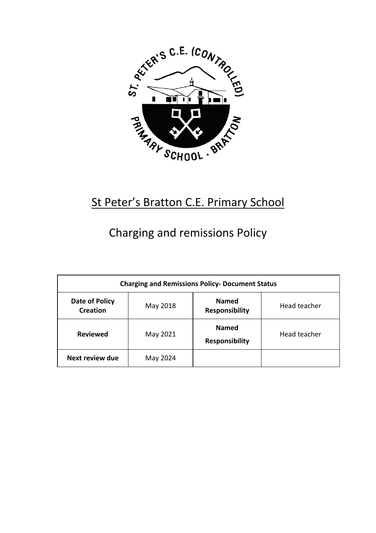

## St Peter's Bratton C.E. Primary School

# Charging and remissions Policy

| <b>Charging and Remissions Policy- Document Status</b> |          |                                       |              |  |
|--------------------------------------------------------|----------|---------------------------------------|--------------|--|
| Date of Policy<br>Creation                             | May 2018 | <b>Named</b><br><b>Responsibility</b> | Head teacher |  |
| <b>Reviewed</b>                                        | May 2021 | <b>Named</b><br><b>Responsibility</b> | Head teacher |  |
| Next review due                                        | May 2024 |                                       |              |  |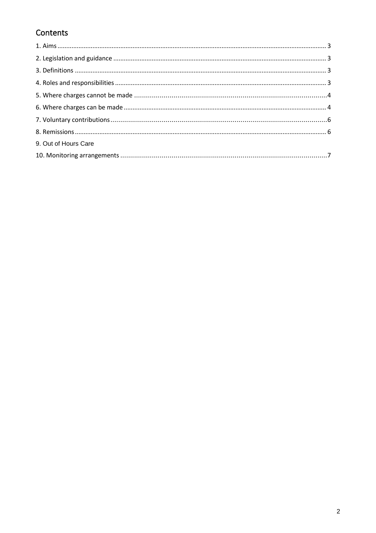## Contents

| 9. Out of Hours Care |  |
|----------------------|--|
|                      |  |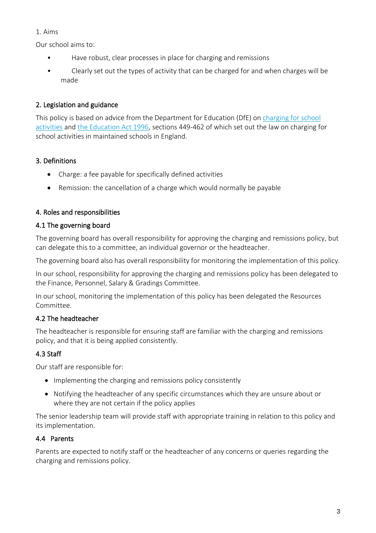#### 1. Aims

Our school aims to:

- Have robust, clear processes in place for charging and remissions
- Clearly set out the types of activity that can be charged for and when charges will be made

## 2. Legislation and guidance

This policy is based on advice from the Department for Education (DfE) o[n charging for school](https://www.gov.uk/government/publications/charging-for-school-activities)  [activities](https://www.gov.uk/government/publications/charging-for-school-activities) an[d the Education Act 1996,](http://www.legislation.gov.uk/ukpga/1996/56/part/VI/chapter/III) sections 449-462 of which set out the law on charging for school activities in maintained schools in England.

## 3. Definitions

- Charge: a fee payable for specifically defined activities
- Remission: the cancellation of a charge which would normally be payable

## 4. Roles and responsibilities

## 4.1 The governing board

The governing board has overall responsibility for approving the charging and remissions policy, but can delegate this to a committee, an individual governor or the headteacher.

The governing board also has overall responsibility for monitoring the implementation of this policy.

In our school, responsibility for approving the charging and remissions policy has been delegated to the Finance, Personnel, Salary & Gradings Committee.

In our school, monitoring the implementation of this policy has been delegated the Resources Committee.

## 4.2 The headteacher

The headteacher is responsible for ensuring staff are familiar with the charging and remissions policy, and that it is being applied consistently.

## 4.3 Staff

Our staff are responsible for:

- Implementing the charging and remissions policy consistently
- Notifying the headteacher of any specific circumstances which they are unsure about or where they are not certain if the policy applies

The senior leadership team will provide staff with appropriate training in relation to this policy and its implementation.

## 4.4 Parents

Parents are expected to notify staff or the headteacher of any concerns or queries regarding the charging and remissions policy.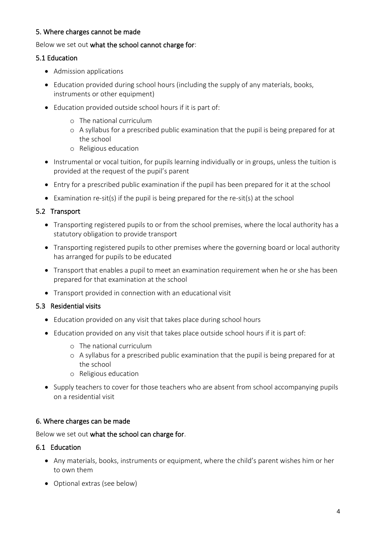#### 5. Where charges cannot be made

#### Below we set out what the school cannot charge for:

#### 5.1 Education

- Admission applications
- Education provided during school hours (including the supply of any materials, books, instruments or other equipment)
- Education provided outside school hours if it is part of:
	- o The national curriculum
	- o A syllabus for a prescribed public examination that the pupil is being prepared for at the school
	- o Religious education
- Instrumental or vocal tuition, for pupils learning individually or in groups, unless the tuition is provided at the request of the pupil's parent
- Entry for a prescribed public examination if the pupil has been prepared for it at the school
- Examination re-sit(s) if the pupil is being prepared for the re-sit(s) at the school

#### 5.2 Transport

- Transporting registered pupils to or from the school premises, where the local authority has a statutory obligation to provide transport
- Transporting registered pupils to other premises where the governing board or local authority has arranged for pupils to be educated
- Transport that enables a pupil to meet an examination requirement when he or she has been prepared for that examination at the school
- Transport provided in connection with an educational visit

#### 5.3 Residential visits

- Education provided on any visit that takes place during school hours
- Education provided on any visit that takes place outside school hours if it is part of:
	- o The national curriculum
	- o A syllabus for a prescribed public examination that the pupil is being prepared for at the school
	- o Religious education
- Supply teachers to cover for those teachers who are absent from school accompanying pupils on a residential visit

#### 6. Where charges can be made

#### Below we set out what the school can charge for.

#### 6.1 Education

- Any materials, books, instruments or equipment, where the child's parent wishes him or her to own them
- Optional extras (see below)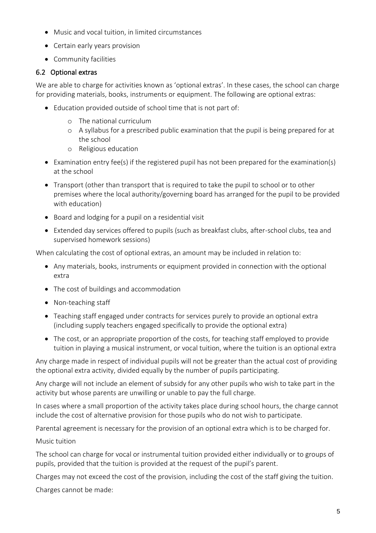- Music and vocal tuition, in limited circumstances
- Certain early years provision
- Community facilities

#### 6.2 Optional extras

We are able to charge for activities known as 'optional extras'. In these cases, the school can charge for providing materials, books, instruments or equipment. The following are optional extras:

- Education provided outside of school time that is not part of:
	- o The national curriculum
	- o A syllabus for a prescribed public examination that the pupil is being prepared for at the school
	- o Religious education
- Examination entry fee(s) if the registered pupil has not been prepared for the examination(s) at the school
- Transport (other than transport that is required to take the pupil to school or to other premises where the local authority/governing board has arranged for the pupil to be provided with education)
- Board and lodging for a pupil on a residential visit
- Extended day services offered to pupils (such as breakfast clubs, after-school clubs, tea and supervised homework sessions)

When calculating the cost of optional extras, an amount may be included in relation to:

- Any materials, books, instruments or equipment provided in connection with the optional extra
- The cost of buildings and accommodation
- Non-teaching staff
- Teaching staff engaged under contracts for services purely to provide an optional extra (including supply teachers engaged specifically to provide the optional extra)
- The cost, or an appropriate proportion of the costs, for teaching staff employed to provide tuition in playing a musical instrument, or vocal tuition, where the tuition is an optional extra

Any charge made in respect of individual pupils will not be greater than the actual cost of providing the optional extra activity, divided equally by the number of pupils participating.

Any charge will not include an element of subsidy for any other pupils who wish to take part in the activity but whose parents are unwilling or unable to pay the full charge.

In cases where a small proportion of the activity takes place during school hours, the charge cannot include the cost of alternative provision for those pupils who do not wish to participate.

Parental agreement is necessary for the provision of an optional extra which is to be charged for.

#### Music tuition

The school can charge for vocal or instrumental tuition provided either individually or to groups of pupils, provided that the tuition is provided at the request of the pupil's parent.

Charges may not exceed the cost of the provision, including the cost of the staff giving the tuition.

Charges cannot be made: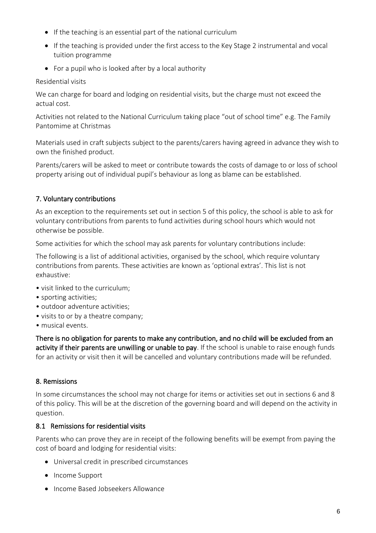- If the teaching is an essential part of the national curriculum
- If the teaching is provided under the first access to the Key Stage 2 instrumental and vocal tuition programme
- For a pupil who is looked after by a local authority

### Residential visits

We can charge for board and lodging on residential visits, but the charge must not exceed the actual cost.

Activities not related to the National Curriculum taking place "out of school time" e.g. The Family Pantomime at Christmas

Materials used in craft subjects subject to the parents/carers having agreed in advance they wish to own the finished product.

Parents/carers will be asked to meet or contribute towards the costs of damage to or loss of school property arising out of individual pupil's behaviour as long as blame can be established.

## 7. Voluntary contributions

As an exception to the requirements set out in section 5 of this policy, the school is able to ask for voluntary contributions from parents to fund activities during school hours which would not otherwise be possible.

Some activities for which the school may ask parents for voluntary contributions include:

The following is a list of additional activities, organised by the school, which require voluntary contributions from parents. These activities are known as 'optional extras'. This list is not exhaustive:

- visit linked to the curriculum;
- sporting activities;
- outdoor adventure activities;
- visits to or by a theatre company;
- musical events.

There is no obligation for parents to make any contribution, and no child will be excluded from an activity if their parents are unwilling or unable to pay. If the school is unable to raise enough funds for an activity or visit then it will be cancelled and voluntary contributions made will be refunded.

## 8. Remissions

In some circumstances the school may not charge for items or activities set out in sections 6 and 8 of this policy. This will be at the discretion of the governing board and will depend on the activity in question.

## 8.1 Remissions for residential visits

Parents who can prove they are in receipt of the following benefits will be exempt from paying the cost of board and lodging for residential visits:

- Universal credit in prescribed circumstances
- Income Support
- Income Based Jobseekers Allowance